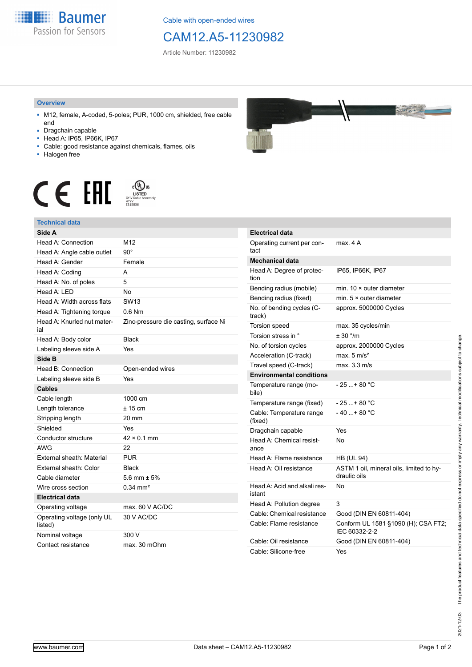

Cable with open-ended wires

## CAM12.A5-11230982

Article Number: 11230982

## **Overview**

- M12, female, A-coded, 5-poles; PUR, 1000 cm, shielded, free cable end
- Dragchain capable
- Head A: IP65, IP66K, IP67
- Cable: good resistance against chemicals, flames, oils
- Halogen free





## **Technical data**

| Side A                                |                                       |
|---------------------------------------|---------------------------------------|
| Head A: Connection                    | M <sub>12</sub>                       |
| Head A: Angle cable outlet            | $90^{\circ}$                          |
| Head A: Gender                        | Female                                |
| Head A: Coding                        | A                                     |
| Head A: No. of poles                  | 5                                     |
| Head $A \cdot IFD$                    | No                                    |
| Head A: Width across flats            | SW <sub>13</sub>                      |
| Head A: Tightening torque             | $0.6$ Nm                              |
| Head A: Knurled nut mater-<br>ial     | Zinc-pressure die casting, surface Ni |
| Head A: Body color                    | <b>Black</b>                          |
| Labeling sleeve side A                | Yes                                   |
| Side B                                |                                       |
| Head B: Connection                    | Open-ended wires                      |
| Labeling sleeve side B                | Yes                                   |
| <b>Cables</b>                         |                                       |
| Cable length                          | 1000 cm                               |
| Length tolerance                      | $± 15$ cm                             |
| Stripping length                      | 20 mm                                 |
| Shielded                              | Yes                                   |
| Conductor structure                   | $42 \times 0.1$ mm                    |
| <b>AWG</b>                            | 22                                    |
| External sheath: Material             | <b>PUR</b>                            |
| External sheath: Color                | <b>Black</b>                          |
| Cable diameter                        | 5.6 mm $\pm$ 5%                       |
| Wire cross section                    | $0.34 \, \text{mm}^2$                 |
| <b>Electrical data</b>                |                                       |
| Operating voltage                     | max. 60 V AC/DC                       |
| Operating voltage (only UL<br>listed) | 30 V AC/DC                            |
| Nominal voltage                       | 300 V                                 |
| Contact resistance                    | max. 30 mOhm                          |



| <b>Electrical data</b>                 |                                                          |
|----------------------------------------|----------------------------------------------------------|
| Operating current per con-<br>tact     | max. 4 A                                                 |
| Mechanical data                        |                                                          |
| Head A: Degree of protec-<br>tion      | IP65, IP66K, IP67                                        |
| Bending radius (mobile)                | min. $10 \times$ outer diameter                          |
| Bending radius (fixed)                 | min. $5 \times$ outer diameter                           |
| No. of bending cycles (C-<br>track)    | approx. 5000000 Cycles                                   |
| Torsion speed                          | max. 35 cycles/min                                       |
| Torsion stress in °                    | ± 30 °/m                                                 |
| No. of torsion cycles                  | approx. 2000000 Cycles                                   |
| Acceleration (C-track)                 | max. $5 \text{ m/s}^2$                                   |
| Travel speed (C-track)                 | max. 3.3 m/s                                             |
| <b>Environmental conditions</b>        |                                                          |
| Temperature range (mo-<br>bile)        | - 25 + 80 °C                                             |
| Temperature range (fixed)              | - 25 + 80 °C                                             |
| Cable: Temperature range<br>(fixed)    | - 40 + 80 °C                                             |
| Dragchain capable                      | Yes                                                      |
| Head A: Chemical resist-<br>ance       | No                                                       |
| Head A: Flame resistance               | <b>HB (UL 94)</b>                                        |
| Head A: Oil resistance                 | ASTM 1 oil, mineral oils, limited to hy-<br>draulic oils |
| Head A: Acid and alkali res-<br>istant | N٥                                                       |
| Head A: Pollution degree               | 3                                                        |
| Cable: Chemical resistance             | Good (DIN EN 60811-404)                                  |
| Cable: Flame resistance                | Conform UL 1581 §1090 (H); CSA FT2;<br>IEC 60332-2-2     |
| Cable: Oil resistance                  | Good (DIN EN 60811-404)                                  |
| Cable: Silicone-free                   | Yes                                                      |